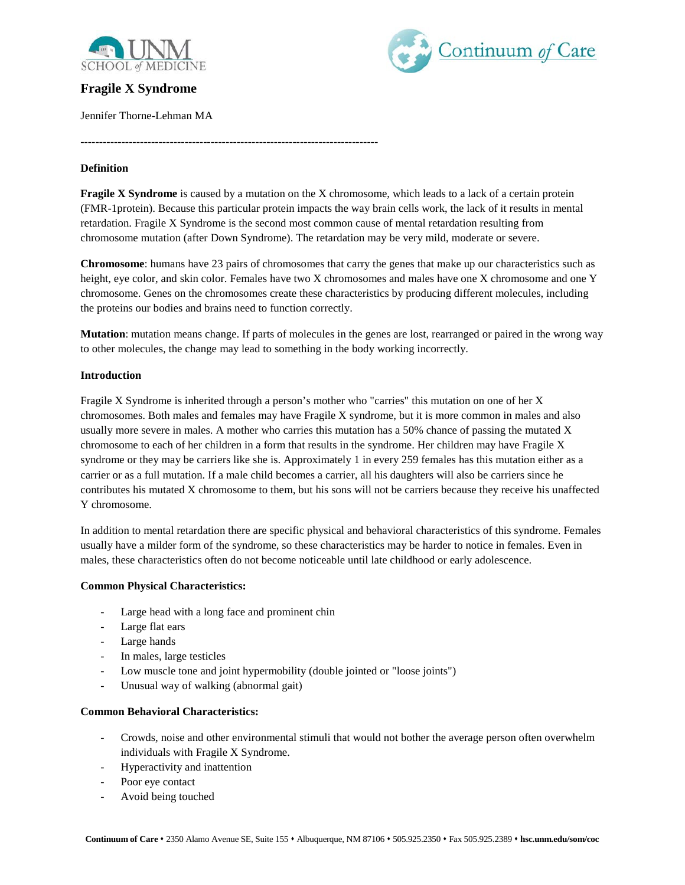

# **Fragile X Syndrome**

Jennifer Thorne-Lehman MA

Continuum of Care

# **Definition**

**Fragile X Syndrome** is caused by a mutation on the X chromosome, which leads to a lack of a certain protein (FMR-1protein). Because this particular protein impacts the way brain cells work, the lack of it results in mental retardation. Fragile X Syndrome is the second most common cause of mental retardation resulting from chromosome mutation (after Down Syndrome). The retardation may be very mild, moderate or severe.

--------------------------------------------------------------------------------

**Chromosome**: humans have 23 pairs of chromosomes that carry the genes that make up our characteristics such as height, eye color, and skin color. Females have two X chromosomes and males have one X chromosome and one Y chromosome. Genes on the chromosomes create these characteristics by producing different molecules, including the proteins our bodies and brains need to function correctly.

**Mutation**: mutation means change. If parts of molecules in the genes are lost, rearranged or paired in the wrong way to other molecules, the change may lead to something in the body working incorrectly.

# **Introduction**

Fragile X Syndrome is inherited through a person's mother who "carries" this mutation on one of her X chromosomes. Both males and females may have Fragile X syndrome, but it is more common in males and also usually more severe in males. A mother who carries this mutation has a 50% chance of passing the mutated X chromosome to each of her children in a form that results in the syndrome. Her children may have Fragile X syndrome or they may be carriers like she is. Approximately 1 in every 259 females has this mutation either as a carrier or as a full mutation. If a male child becomes a carrier, all his daughters will also be carriers since he contributes his mutated X chromosome to them, but his sons will not be carriers because they receive his unaffected Y chromosome.

In addition to mental retardation there are specific physical and behavioral characteristics of this syndrome. Females usually have a milder form of the syndrome, so these characteristics may be harder to notice in females. Even in males, these characteristics often do not become noticeable until late childhood or early adolescence.

# **Common Physical Characteristics:**

- Large head with a long face and prominent chin
- Large flat ears
- Large hands
- In males, large testicles
- Low muscle tone and joint hypermobility (double jointed or "loose joints")
- Unusual way of walking (abnormal gait)

#### **Common Behavioral Characteristics:**

- Crowds, noise and other environmental stimuli that would not bother the average person often overwhelm individuals with Fragile X Syndrome.
- Hyperactivity and inattention
- Poor eye contact
- Avoid being touched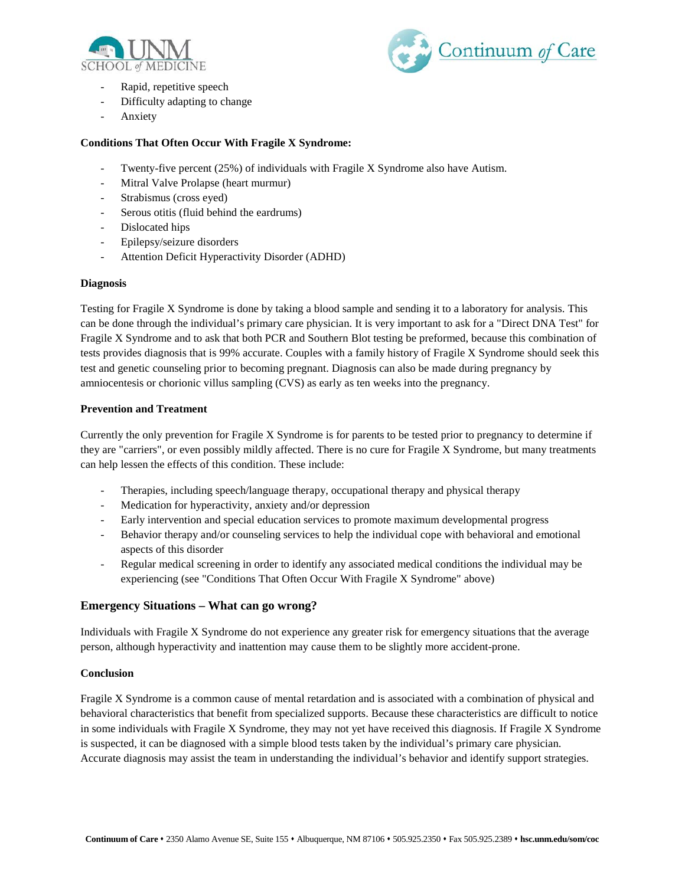



- Rapid, repetitive speech
- Difficulty adapting to change
- **Anxiety**

# **Conditions That Often Occur With Fragile X Syndrome:**

- Twenty-five percent (25%) of individuals with Fragile X Syndrome also have Autism.
- Mitral Valve Prolapse (heart murmur)
- Strabismus (cross eyed)
- Serous otitis (fluid behind the eardrums)
- Dislocated hips
- Epilepsy/seizure disorders
- Attention Deficit Hyperactivity Disorder (ADHD)

# **Diagnosis**

Testing for Fragile X Syndrome is done by taking a blood sample and sending it to a laboratory for analysis. This can be done through the individual's primary care physician. It is very important to ask for a "Direct DNA Test" for Fragile X Syndrome and to ask that both PCR and Southern Blot testing be preformed, because this combination of tests provides diagnosis that is 99% accurate. Couples with a family history of Fragile X Syndrome should seek this test and genetic counseling prior to becoming pregnant. Diagnosis can also be made during pregnancy by amniocentesis or chorionic villus sampling (CVS) as early as ten weeks into the pregnancy.

#### **Prevention and Treatment**

Currently the only prevention for Fragile X Syndrome is for parents to be tested prior to pregnancy to determine if they are "carriers", or even possibly mildly affected. There is no cure for Fragile X Syndrome, but many treatments can help lessen the effects of this condition. These include:

- Therapies, including speech/language therapy, occupational therapy and physical therapy
- Medication for hyperactivity, anxiety and/or depression
- Early intervention and special education services to promote maximum developmental progress
- Behavior therapy and/or counseling services to help the individual cope with behavioral and emotional aspects of this disorder
- Regular medical screening in order to identify any associated medical conditions the individual may be experiencing (see "Conditions That Often Occur With Fragile X Syndrome" above)

# **Emergency Situations – What can go wrong?**

Individuals with Fragile X Syndrome do not experience any greater risk for emergency situations that the average person, although hyperactivity and inattention may cause them to be slightly more accident-prone.

# **Conclusion**

Fragile X Syndrome is a common cause of mental retardation and is associated with a combination of physical and behavioral characteristics that benefit from specialized supports. Because these characteristics are difficult to notice in some individuals with Fragile X Syndrome, they may not yet have received this diagnosis. If Fragile X Syndrome is suspected, it can be diagnosed with a simple blood tests taken by the individual's primary care physician. Accurate diagnosis may assist the team in understanding the individual's behavior and identify support strategies.